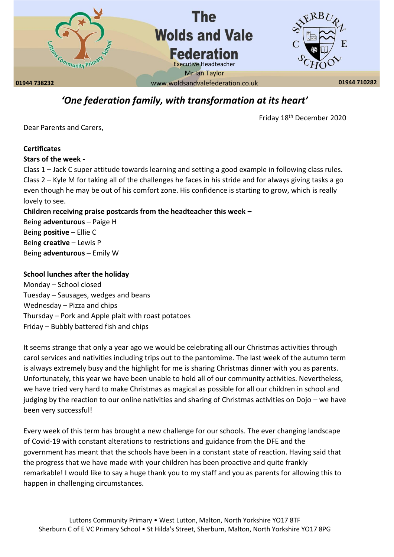

# *'One federation family, with transformation at its heart'*

Friday 18th December 2020

Dear Parents and Carers,

# **Certificates**

#### **Stars of the week -**

Class 1 – Jack C super attitude towards learning and setting a good example in following class rules. Class 2 – Kyle M for taking all of the challenges he faces in his stride and for always giving tasks a go even though he may be out of his comfort zone. His confidence is starting to grow, which is really lovely to see.

## **Children receiving praise postcards from the headteacher this week –**

Being **adventurous** – Paige H Being **positive** – Ellie C Being **creative** – Lewis P Being **adventurous** – Emily W

#### **School lunches after the holiday**

Monday – School closed Tuesday – Sausages, wedges and beans Wednesday – Pizza and chips Thursday – Pork and Apple plait with roast potatoes Friday – Bubbly battered fish and chips

It seems strange that only a year ago we would be celebrating all our Christmas activities through carol services and nativities including trips out to the pantomime. The last week of the autumn term is always extremely busy and the highlight for me is sharing Christmas dinner with you as parents. Unfortunately, this year we have been unable to hold all of our community activities. Nevertheless, we have tried very hard to make Christmas as magical as possible for all our children in school and judging by the reaction to our online nativities and sharing of Christmas activities on Dojo – we have been very successful!

Every week of this term has brought a new challenge for our schools. The ever changing landscape of Covid-19 with constant alterations to restrictions and guidance from the DFE and the government has meant that the schools have been in a constant state of reaction. Having said that the progress that we have made with your children has been proactive and quite frankly remarkable! I would like to say a huge thank you to my staff and you as parents for allowing this to happen in challenging circumstances.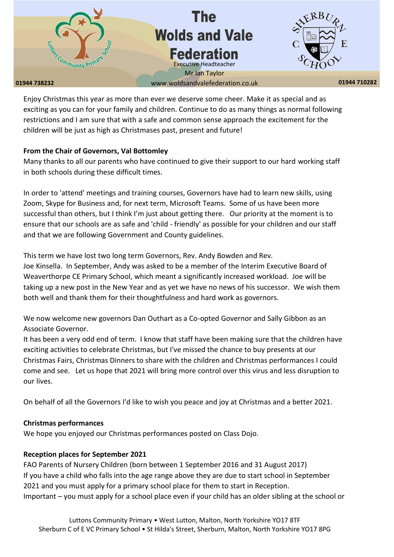

Enjoy Christmas this year as more than ever we deserve some cheer. Make it as special and as exciting as you can for your family and children. Continue to do as many things as normal following restrictions and I am sure that with a safe and common sense approach the excitement for the children will be just as high as Christmases past, present and future!

## **From the Chair of Governors, Val Bottomley**

Many thanks to all our parents who have continued to give their support to our hard working staff in both schools during these difficult times.

In order to 'attend' meetings and training courses, Governors have had to learn new skills, using Zoom, Skype for Business and, for next term, Microsoft Teams. Some of us have been more successful than others, but I think I'm just about getting there. Our priority at the moment is to ensure that our schools are as safe and 'child - friendly' as possible for your children and our staff and that we are following Government and County guidelines.

This term we have lost two long term Governors, Rev. Andy Bowden and Rev.

Joe Kinsella. In September, Andy was asked to be a member of the Interim Executive Board of Weaverthorpe CE Primary School, which meant a significantly increased workload. Joe will be taking up a new post in the New Year and as yet we have no news of his successor. We wish them both well and thank them for their thoughtfulness and hard work as governors.

We now welcome new governors Dan Outhart as a Co-opted Governor and Sally Gibbon as an Associate Governor.

It has been a very odd end of term. I know that staff have been making sure that the children have exciting activities to celebrate Christmas, but I've missed the chance to buy presents at our Christmas Fairs, Christmas Dinners to share with the children and Christmas performances I could come and see. Let us hope that 2021 will bring more control over this virus and less disruption to our lives.

On behalf of all the Governors I'd like to wish you peace and joy at Christmas and a better 2021.

#### **Christmas performances**

We hope you enjoyed our Christmas performances posted on Class Dojo.

## **Reception places for September 2021**

FAO Parents of Nursery Children (born between 1 September 2016 and 31 August 2017) If you have a child who falls into the age range above they are due to start school in September 2021 and you must apply for a primary school place for them to start in Reception. Important – you must apply for a school place even if your child has an older sibling at the school or